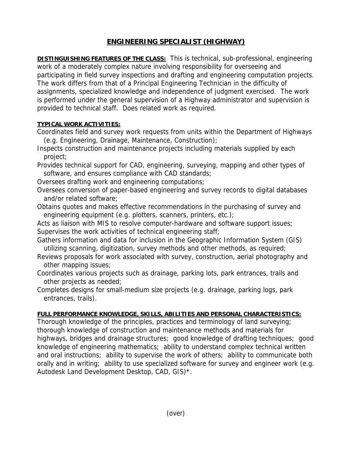# **ENGINEERING SPECIALIST (HIGHWAY)**

**DISTINGUISHING FEATURES OF THE CLASS:** This is technical, sub-professional, engineering work of a moderately complex nature involving responsibility for overseeing and participating in field survey inspections and drafting and engineering computation projects. The work differs from that of a Principal Engineering Technician in the difficulty of assignments, specialized knowledge and independence of judgment exercised. The work is performed under the general supervision of a Highway administrator and supervision is provided to technical staff. Does related work as required.

# **TYPICAL WORK ACTIVITIES:**

Coordinates field and survey work requests from units within the Department of Highways (e.g. Engineering, Drainage, Maintenance, Construction);

Inspects construction and maintenance projects including materials supplied by each project;

Provides technical support for CAD, engineering, surveying, mapping and other types of software, and ensures compliance with CAD standards;

Oversees drafting work and engineering computations;

- Oversees conversion of paper-based engineering and survey records to digital databases and/or related software;
- Obtains quotes and makes effective recommendations in the purchasing of survey and engineering equipment (e.g. plotters, scanners, printers, etc.);

Acts as liaison with MIS to resolve computer-hardware and software support issues; Supervises the work activities of technical engineering staff;

Gathers information and data for inclusion in the Geographic Information System (GIS) utilizing scanning, digitization, survey methods and other methods, as required;

- Reviews proposals for work associated with survey, construction, aerial photography and other mapping issues;
- Coordinates various projects such as drainage, parking lots, park entrances, trails and other projects as needed;
- Completes designs for small-medium size projects (e.g. drainage, parking logs, park entrances, trails).

# **FULL PERFORMANCE KNOWLEDGE, SKILLS, ABILITIES AND PERSONAL CHARACTERISTICS:**

Thorough knowledge of the principles, practices and terminology of land surveying; thorough knowledge of construction and maintenance methods and materials for highways, bridges and drainage structures; good knowledge of drafting techniques; good knowledge of engineering mathematics; ability to understand complex technical written and oral instructions; ability to supervise the work of others; ability to communicate both orally and in writing; ability to use specialized software for survey and engineer work (e.g. Autodesk Land Development Desktop, CAD, GIS)\*.